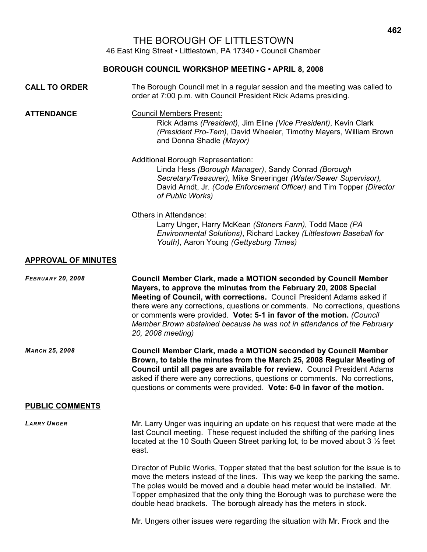# THE BOROUGH OF LITTLESTOWN

46 East King Street • Littlestown, PA 17340 • Council Chamber

## **BOROUGH COUNCIL WORKSHOP MEETING • APRIL 8, 2008**

| <b>CALL TO ORDER</b>       | The Borough Council met in a regular session and the meeting was called to<br>order at 7:00 p.m. with Council President Rick Adams presiding.                                                                                                                                                                                                                                                                                                                                 |
|----------------------------|-------------------------------------------------------------------------------------------------------------------------------------------------------------------------------------------------------------------------------------------------------------------------------------------------------------------------------------------------------------------------------------------------------------------------------------------------------------------------------|
| <b>ATTENDANCE</b>          | <b>Council Members Present:</b><br>Rick Adams (President), Jim Eline (Vice President), Kevin Clark<br>(President Pro-Tem), David Wheeler, Timothy Mayers, William Brown<br>and Donna Shadle (Mayor)                                                                                                                                                                                                                                                                           |
|                            | <b>Additional Borough Representation:</b><br>Linda Hess (Borough Manager), Sandy Conrad (Borough<br>Secretary/Treasurer), Mike Sneeringer (Water/Sewer Supervisor),<br>David Arndt, Jr. (Code Enforcement Officer) and Tim Topper (Director<br>of Public Works)                                                                                                                                                                                                               |
|                            | Others in Attendance:<br>Larry Unger, Harry McKean (Stoners Farm), Todd Mace (PA<br>Environmental Solutions), Richard Lackey (Littlestown Baseball for<br>Youth), Aaron Young (Gettysburg Times)                                                                                                                                                                                                                                                                              |
| <b>APPROVAL OF MINUTES</b> |                                                                                                                                                                                                                                                                                                                                                                                                                                                                               |
| <b>FEBRUARY 20, 2008</b>   | <b>Council Member Clark, made a MOTION seconded by Council Member</b><br>Mayers, to approve the minutes from the February 20, 2008 Special<br>Meeting of Council, with corrections. Council President Adams asked if<br>there were any corrections, questions or comments. No corrections, questions<br>or comments were provided. Vote: 5-1 in favor of the motion. (Council<br>Member Brown abstained because he was not in attendance of the February<br>20, 2008 meeting) |
| <b>МАRCH 25, 2008</b>      | <b>Council Member Clark, made a MOTION seconded by Council Member</b><br>Brown, to table the minutes from the March 25, 2008 Regular Meeting of<br>Council until all pages are available for review. Council President Adams<br>asked if there were any corrections, questions or comments. No corrections,<br>questions or comments were provided. Vote: 6-0 in favor of the motion.                                                                                         |
| <b>PUBLIC COMMENTS</b>     |                                                                                                                                                                                                                                                                                                                                                                                                                                                                               |
| <b>LARRY UNGER</b>         | Mr. Larry Unger was inquiring an update on his request that were made at the<br>last Council meeting. These request included the shifting of the parking lines<br>located at the 10 South Queen Street parking lot, to be moved about 3 1/2 feet<br>east.                                                                                                                                                                                                                     |
|                            | Director of Public Works, Topper stated that the best solution for the issue is to<br>move the meters instead of the lines. This way we keep the parking the same.<br>The poles would be moved and a double head meter would be installed. Mr.<br>Topper emphasized that the only thing the Borough was to purchase were the<br>double head brackets. The borough already has the meters in stock.                                                                            |

Mr. Ungers other issues were regarding the situation with Mr. Frock and the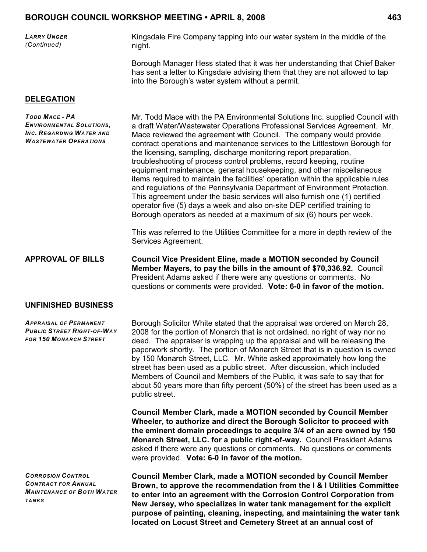| Larry Unger<br>(Continued) | Kingsdale Fire Company tapping into our water system in the middle of the<br>night.                                                                         |
|----------------------------|-------------------------------------------------------------------------------------------------------------------------------------------------------------|
|                            | Borough Manager Hess stated that it was her understanding that Chief Baker<br>has sent a letter to Kingsdale advising them that they are not allowed to tap |

into the Borough's water system without a permit.

#### **DELEGATION**

*TODD MACE - PA ENVIRONMENTAL SOLUTIONS, INC. REGARDING WATER AND WASTEWATER OPERATIONS*

Mr. Todd Mace with the PA Environmental Solutions Inc. supplied Council with a draft Water/Wastewater Operations Professional Services Agreement. Mr. Mace reviewed the agreement with Council. The company would provide contract operations and maintenance services to the Littlestown Borough for the licensing, sampling, discharge monitoring report preparation, troubleshooting of process control problems, record keeping, routine equipment maintenance, general housekeeping, and other miscellaneous items required to maintain the facilities' operation within the applicable rules and regulations of the Pennsylvania Department of Environment Protection. This agreement under the basic services will also furnish one (1) certified operator five (5) days a week and also on-site DEP certified training to Borough operators as needed at a maximum of six (6) hours per week.

This was referred to the Utilities Committee for a more in depth review of the Services Agreement.

**APPROVAL OF BILLS Council Vice President Eline, made a MOTION seconded by Council Member Mayers, to pay the bills in the amount of \$70,336.92.** Council President Adams asked if there were any questions or comments. No questions or comments were provided. **Vote: 6-0 in favor of the motion.**

#### **UNFINISHED BUSINESS**

*APPRAISAL OF PERMANENT PUBLIC STREET RIGHT-OF-WAY FOR 150 MONARCH STREET*

Borough Solicitor White stated that the appraisal was ordered on March 28, 2008 for the portion of Monarch that is not ordained, no right of way nor no deed. The appraiser is wrapping up the appraisal and will be releasing the paperwork shortly. The portion of Monarch Street that is in question is owned by 150 Monarch Street, LLC. Mr. White asked approximately how long the street has been used as a public street. After discussion, which included Members of Council and Members of the Public, it was safe to say that for about 50 years more than fifty percent (50%) of the street has been used as a public street.

**Council Member Clark, made a MOTION seconded by Council Member Wheeler, to authorize and direct the Borough Solicitor to proceed with the eminent domain proceedings to acquire 3/4 of an acre owned by 150 Monarch Street, LLC. for a public right-of-way.** Council President Adams asked if there were any questions or comments. No questions or comments were provided. **Vote: 6-0 in favor of the motion.**

*CORROSION CONTROL CONTRACT FOR ANNUAL MAINTENANCE OF BOTH WATER TANKS*

**Council Member Clark, made a MOTION seconded by Council Member Brown, to approve the recommendation from the I & I Utilities Committee to enter into an agreement with the Corrosion Control Corporation from New Jersey, who specializes in water tank management for the explicit purpose of painting, cleaning, inspecting, and maintaining the water tank located on Locust Street and Cemetery Street at an annual cost of**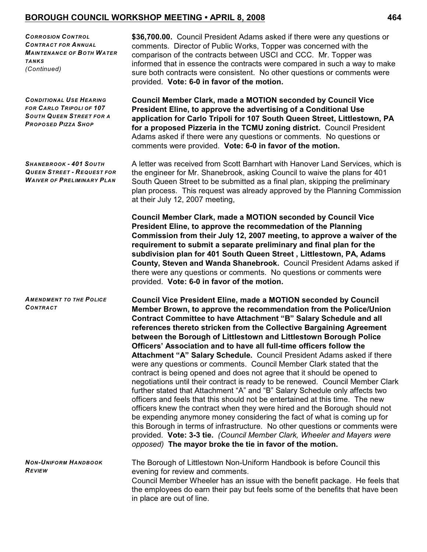*CORROSION CONTROL CONTRACT FOR ANNUAL MAINTENANCE OF BOTH WATER TANKS (Continued)*

*CONDITIONAL USE HEARING FOR CARLO TRIPOLI OF 107 SOUTH QUEEN STREET FOR A PROPOSED PIZZA SHOP*

*SHANEBROOK - 401 SOUTH QUEEN STREET - REQUEST FOR WAIVER OF PRELIMINARY PLAN*

*AMENDMENT TO THE POLICE CONTRACT*

**\$36,700.00.** Council President Adams asked if there were any questions or comments. Director of Public Works, Topper was concerned with the comparison of the contracts between USCI and CCC. Mr. Topper was informed that in essence the contracts were compared in such a way to make sure both contracts were consistent. No other questions or comments were provided. **Vote: 6-0 in favor of the motion.**

**Council Member Clark, made a MOTION seconded by Council Vice President Eline, to approve the advertising of a Conditional Use application for Carlo Tripoli for 107 South Queen Street, Littlestown, PA for a proposed Pizzeria in the TCMU zoning district.** Council President Adams asked if there were any questions or comments. No questions or comments were provided. **Vote: 6-0 in favor of the motion.**

A letter was received from Scott Barnhart with Hanover Land Services, which is the engineer for Mr. Shanebrook, asking Council to waive the plans for 401 South Queen Street to be submitted as a final plan, skipping the preliminary plan process. This request was already approved by the Planning Commission at their July 12, 2007 meeting,

**Council Member Clark, made a MOTION seconded by Council Vice President Eline, to approve the recommedation of the Planning Commission from their July 12, 2007 meeting, to approve a waiver of the requirement to submit a separate preliminary and final plan for the subdivision plan for 401 South Queen Street , Littlestown, PA, Adams County, Steven and Wanda Shanebrook.** Council President Adams asked if there were any questions or comments. No questions or comments were provided. **Vote: 6-0 in favor of the motion.**

**Council Vice President Eline, made a MOTION seconded by Council Member Brown, to approve the recommendation from the Police/Union Contract Committee to have Attachment "B" Salary Schedule and all references thereto stricken from the Collective Bargaining Agreement between the Borough of Littlestown and Littlestown Borough Police Officers' Association and to have all full-time officers follow the Attachment "A" Salary Schedule.** Council President Adams asked if there were any questions or comments. Council Member Clark stated that the contract is being opened and does not agree that it should be opened to negotiations until their contract is ready to be renewed. Council Member Clark further stated that Attachment "A" and "B" Salary Schedule only affects two officers and feels that this should not be entertained at this time. The new officers knew the contract when they were hired and the Borough should not be expending anymore money considering the fact of what is coming up for this Borough in terms of infrastructure. No other questions or comments were provided. **Vote: 3-3 tie.** *(Council Member Clark, Wheeler and Mayers were opposed)* **The mayor broke the tie in favor of the motion.**

*NON-UNIFORM HANDBOOK REVIEW* The Borough of Littlestown Non-Uniform Handbook is before Council this evening for review and comments. Council Member Wheeler has an issue with the benefit package. He feels that

the employees do earn their pay but feels some of the benefits that have been in place are out of line.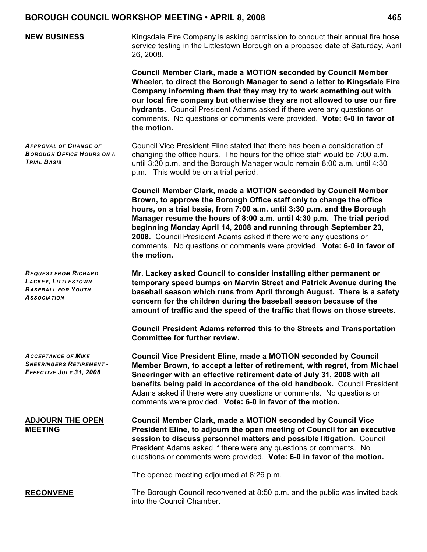| <b>NEW BUSINESS</b>                                                                                   | Kingsdale Fire Company is asking permission to conduct their annual fire hose<br>service testing in the Littlestown Borough on a proposed date of Saturday, April<br>26, 2008.                                                                                                                                                                                                                                                                                                                                                          |
|-------------------------------------------------------------------------------------------------------|-----------------------------------------------------------------------------------------------------------------------------------------------------------------------------------------------------------------------------------------------------------------------------------------------------------------------------------------------------------------------------------------------------------------------------------------------------------------------------------------------------------------------------------------|
|                                                                                                       | Council Member Clark, made a MOTION seconded by Council Member<br>Wheeler, to direct the Borough Manager to send a letter to Kingsdale Fire<br>Company informing them that they may try to work something out with<br>our local fire company but otherwise they are not allowed to use our fire<br>hydrants. Council President Adams asked if there were any questions or<br>comments. No questions or comments were provided. Vote: 6-0 in favor of<br>the motion.                                                                     |
| <b>APPROVAL OF CHANGE OF</b><br><b>BOROUGH OFFICE HOURS ON A</b><br><b>TRIAL BASIS</b>                | Council Vice President Eline stated that there has been a consideration of<br>changing the office hours. The hours for the office staff would be 7:00 a.m.<br>until 3:30 p.m. and the Borough Manager would remain 8:00 a.m. until 4:30<br>p.m. This would be on a trial period.                                                                                                                                                                                                                                                        |
|                                                                                                       | <b>Council Member Clark, made a MOTION seconded by Council Member</b><br>Brown, to approve the Borough Office staff only to change the office<br>hours, on a trial basis, from 7:00 a.m. until 3:30 p.m. and the Borough<br>Manager resume the hours of 8:00 a.m. until 4:30 p.m. The trial period<br>beginning Monday April 14, 2008 and running through September 23,<br>2008. Council President Adams asked if there were any questions or<br>comments. No questions or comments were provided. Vote: 6-0 in favor of<br>the motion. |
| <b>REQUEST FROM RICHARD</b><br>LACKEY, LITTLESTOWN<br><b>BASEBALL FOR YOUTH</b><br><b>ASSOCIATION</b> | Mr. Lackey asked Council to consider installing either permanent or<br>temporary speed bumps on Marvin Street and Patrick Avenue during the<br>baseball season which runs from April through August. There is a safety<br>concern for the children during the baseball season because of the<br>amount of traffic and the speed of the traffic that flows on those streets.                                                                                                                                                             |
|                                                                                                       | Council President Adams referred this to the Streets and Transportation<br><b>Committee for further review.</b>                                                                                                                                                                                                                                                                                                                                                                                                                         |
| <b>ACCEPTANCE OF MIKE</b><br><b>SNEERINGERS RETIREMENT -</b><br>EFFECTIVE JULY 31, 2008               | <b>Council Vice President Eline, made a MOTION seconded by Council</b><br>Member Brown, to accept a letter of retirement, with regret, from Michael<br>Sneeringer with an effective retirement date of July 31, 2008 with all<br>benefits being paid in accordance of the old handbook. Council President<br>Adams asked if there were any questions or comments. No questions or<br>comments were provided. Vote: 6-0 in favor of the motion.                                                                                          |
| <b>ADJOURN THE OPEN</b><br><b>MEETING</b>                                                             | <b>Council Member Clark, made a MOTION seconded by Council Vice</b><br>President Eline, to adjourn the open meeting of Council for an executive<br>session to discuss personnel matters and possible litigation. Council<br>President Adams asked if there were any questions or comments. No<br>questions or comments were provided. Vote: 6-0 in favor of the motion.                                                                                                                                                                 |
|                                                                                                       | The opened meeting adjourned at 8:26 p.m.                                                                                                                                                                                                                                                                                                                                                                                                                                                                                               |
| <b>RECONVENE</b>                                                                                      | The Borough Council reconvened at 8:50 p.m. and the public was invited back<br>into the Council Chamber.                                                                                                                                                                                                                                                                                                                                                                                                                                |